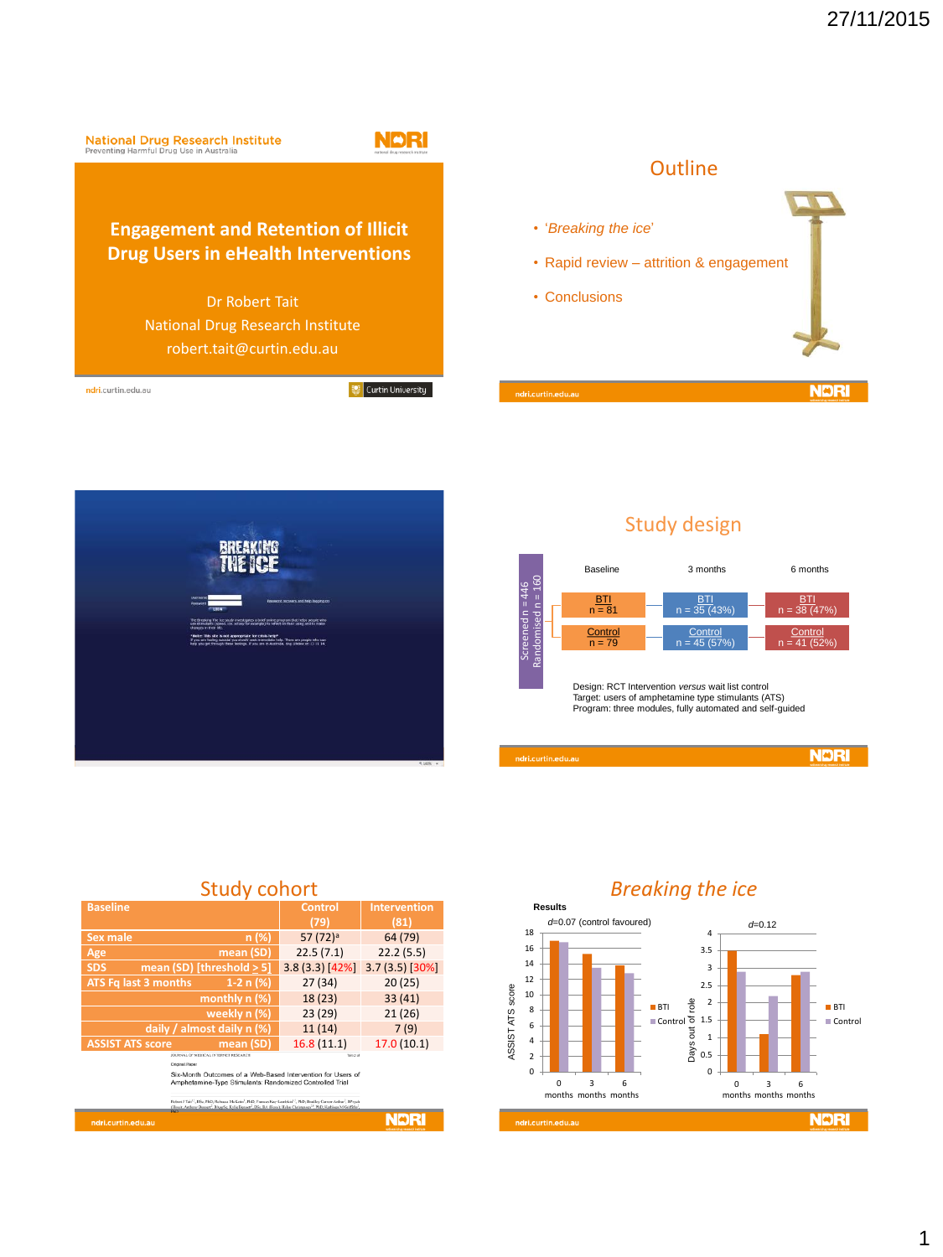



# Study design



| <b>Baseline</b>         |                              | Control              | Intervention  |
|-------------------------|------------------------------|----------------------|---------------|
|                         |                              | (79)                 | (81)          |
| Sex male                | n(%)                         | 57 (72) <sup>a</sup> | 64 (79)       |
| Age                     | mean (SD)                    | 22.5(7.1)            | 22.2(5.5)     |
| <b>SDS</b>              | mean (SD) [threshold $> 5$ ] | 3.8(3.3)[42%]        | 3.7(3.5)[30%] |
| ATS Fq last 3 months    | 1-2 n $(%)$                  | 27(34)               | 20(25)        |
|                         | monthly n (%)                | 18(23)               | 33(41)        |
|                         | weekly n (%)                 | 23(29)               | 21(26)        |
|                         | daily / almost daily n (%)   | 11(14)               | 7(9)          |
| <b>ASSIST ATS score</b> | mean (SD)                    | 16.8(11.1)           | 17.0(10.1)    |
|                         |                              |                      |               |
|                         |                              |                      |               |
|                         |                              |                      |               |
| ndri.curtin.edu.au      |                              |                      |               |

### Study cohort

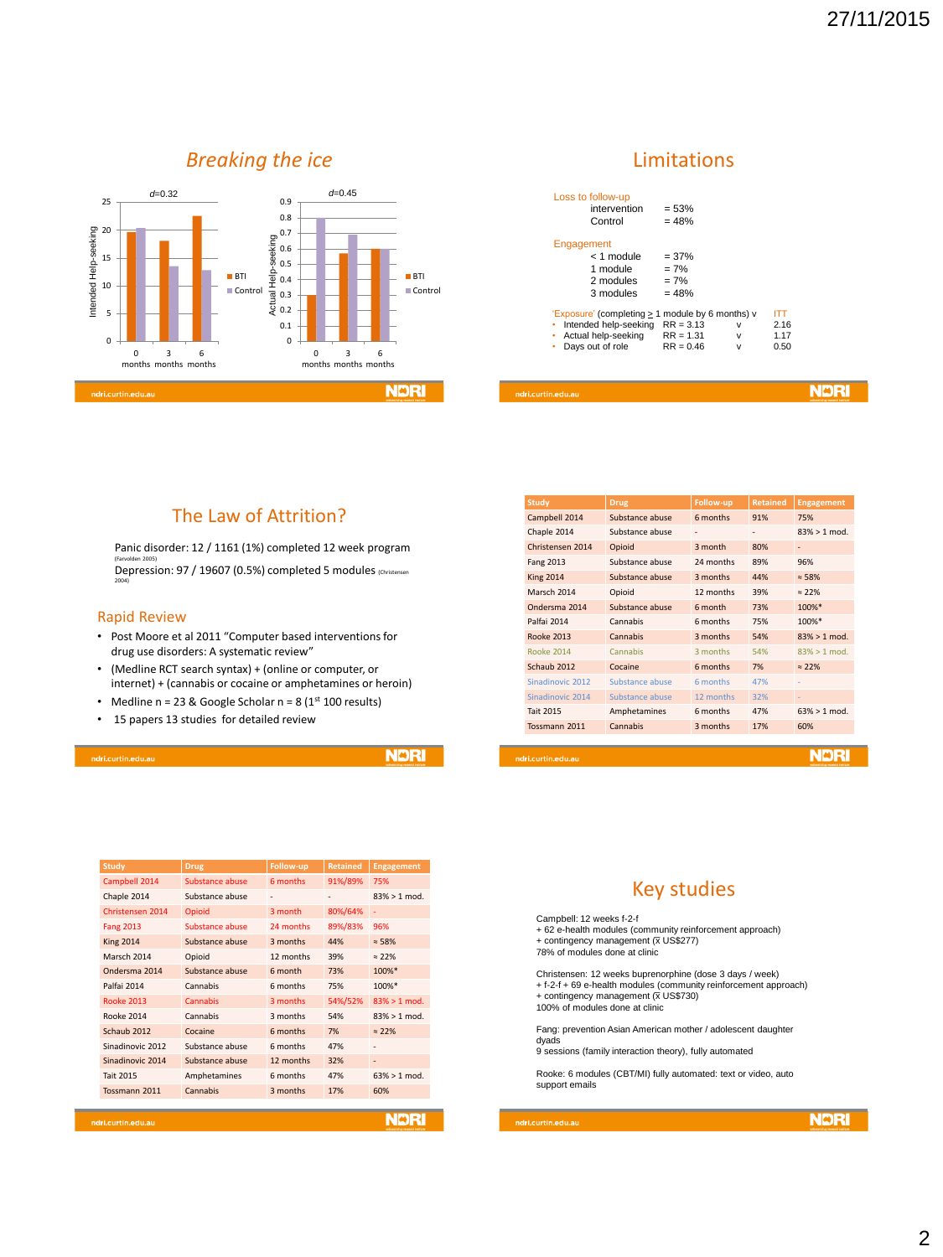# *Breaking the ice*



#### Limitations

| .curtin.edu.au                                   |             |        |      |  |
|--------------------------------------------------|-------------|--------|------|--|
|                                                  |             |        |      |  |
| Days out of role<br>٠                            | $RR = 0.46$ | $\vee$ | 0.50 |  |
| Actual help-seeking<br>٠                         | $RR = 1.31$ | $\vee$ | 1.17 |  |
| Intended help-seeking                            | $RR = 3.13$ | v      | 2.16 |  |
| 'Exposure' (completing > 1 module by 6 months) v |             |        | ITT  |  |
| 3 modules                                        | $= 48%$     |        |      |  |
| 2 modules                                        | $= 7%$      |        |      |  |
| 1 module                                         | $= 7%$      |        |      |  |
| $< 1$ module                                     | $= 37%$     |        |      |  |
| Engagement                                       |             |        |      |  |
| Control                                          | $= 48%$     |        |      |  |
| intervention                                     | $= 53%$     |        |      |  |
| Loss to follow-up                                |             |        |      |  |

#### The Law of Attrition?

Panic disorder: 12 / 1161 (1%) completed 12 week program <sub>(Farvolden 2005)</sub><br>Depression: 97 / 19607 (0.5%) completed 5 modules <sub>(Christensen</sub> 2004)

#### Rapid Review

- Post Moore et al 2011 "Computer based interventions for drug use disorders: A systematic review"
- (Medline RCT search syntax) + (online or computer, or internet) + (cannabis or cocaine or amphetamines or heroin)
- Medline  $n = 23$  & Google Scholar  $n = 8$  (1st 100 results)
- 15 papers 13 studies for detailed review

**NDRI** 

| <b>Study</b>      | <b>Drug</b>     | Follow-up | <b>Retained</b> | <b>Engagement</b> |
|-------------------|-----------------|-----------|-----------------|-------------------|
| Campbell 2014     | Substance abuse | 6 months  | 91%/89%         | 75%               |
| Chaple 2014       | Substance abuse |           |                 | $83\% > 1$ mod.   |
| Christensen 2014  | Opioid          | 3 month   | 80%/64%         | ٠                 |
| <b>Fang 2013</b>  | Substance abuse | 24 months | 89%/83%         | 96%               |
| <b>King 2014</b>  | Substance abuse | 3 months  | 44%             | $\approx$ 58%     |
| Marsch 2014       | Opioid          | 12 months | 39%             | $\approx$ 22%     |
| Ondersma 2014     | Substance abuse | 6 month   | 73%             | 100%*             |
| Palfai 2014       | Cannabis        | 6 months  | 75%             | 100%*             |
| <b>Rooke 2013</b> | Cannabis        | 3 months  | 54%/52%         | $83\% > 1$ mod.   |
| <b>Rooke 2014</b> | Cannabis        | 3 months  | 54%             | $83\% > 1$ mod.   |
| Schaub 2012       | Cocaine         | 6 months  | 7%              | $\approx$ 22%     |
| Sinadinovic 2012  | Substance abuse | 6 months  | 47%             |                   |
| Sinadinovic 2014  | Substance abuse | 12 months | 32%             |                   |
| Tait 2015         | Amphetamines    | 6 months  | 47%             | $63\% > 1$ mod.   |
| Tossmann 2011     | Cannabis        | 3 months  | 17%             | 60%               |
|                   |                 |           |                 |                   |
| ri.curtin.edu.au  |                 |           |                 | NDRI              |

| <b>Study</b>       | <b>Drug</b>     | <b>Follow-up</b> | <b>Retained</b> | <b>Engagement</b> |
|--------------------|-----------------|------------------|-----------------|-------------------|
| Campbell 2014      | Substance abuse | 6 months         | 91%             | 75%               |
| Chaple 2014        | Substance abuse | ٠                | ٠               | $83\% > 1$ mod.   |
| Christensen 2014   | Opioid          | 3 month          | 80%             | ٠                 |
| Fang 2013          | Substance abuse | 24 months        | 89%             | 96%               |
| <b>King 2014</b>   | Substance abuse | 3 months         | 44%             | $\approx$ 58%     |
| Marsch 2014        | Opioid          | 12 months        | 39%             | $\approx$ 22%     |
| Ondersma 2014      | Substance abuse | 6 month          | 73%             | 100%*             |
| Palfai 2014        | Cannabis        | 6 months         | 75%             | 100%*             |
| <b>Rooke 2013</b>  | Cannabis        | 3 months         | 54%             | $83\% > 1$ mod.   |
| <b>Rooke 2014</b>  | Cannabis        | 3 months         | 54%             | $83\% > 1$ mod.   |
| Schaub 2012        | Cocaine         | 6 months         | 7%              | $\approx$ 22%     |
| Sinadinovic 2012   | Substance abuse | 6 months         | 47%             |                   |
| Sinadinovic 2014   | Substance abuse | 12 months        | 32%             | ÷                 |
| <b>Tait 2015</b>   | Amphetamines    | 6 months         | 47%             | $63\% > 1$ mod.   |
| Tossmann 2011      | Cannabis        | 3 months         | 17%             | 60%               |
|                    |                 |                  |                 |                   |
| ndri.curtin.edu.au |                 |                  |                 |                   |

#### Key studies

Campbell: 12 weeks f-2-f

+ 62 e-health modules (community reinforcement approach)<br>+ contingency management (x US\$277)<br>78% of modules done at clinic

Christensen: 12 weeks buprenorphine (dose 3 days / week) + f-2-f + 69 e-health modules (community reinforcement approach) + contingency management  $(\bar{x}$  US\$730) 100% of modules done at clinic

Fang: prevention Asian American mother / adolescent daughter dyads

9 sessions (family interaction theory), fully automated

Rooke: 6 modules (CBT/MI) fully automated: text or video, auto support emails

lri.curtin.edu.au